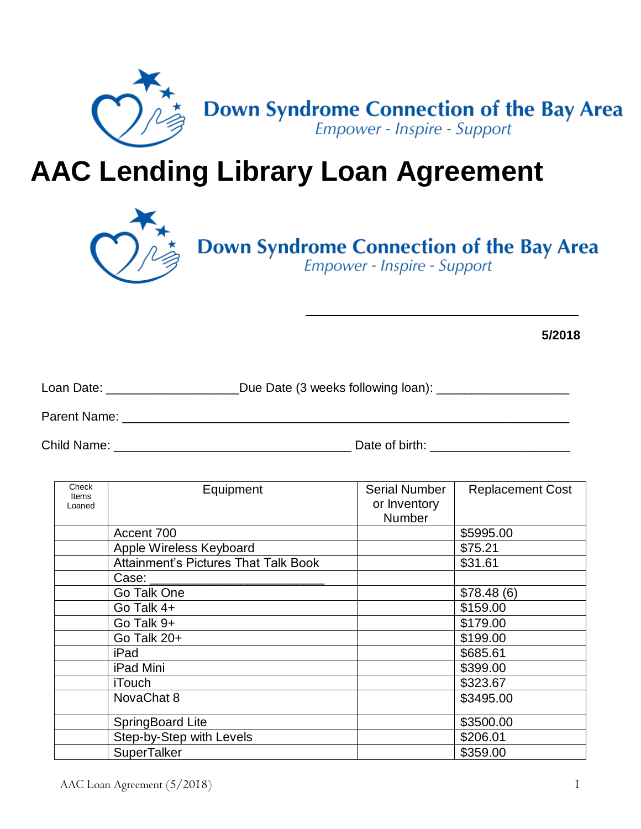

## **AAC Lending Library Loan Agreement**



# **Down Syndrome Connection of the Bay Area**<br>*Empower - Inspire - Support*

**5/2018**

| Loan Date:   | _Due Date (3 weeks following loan): _ |
|--------------|---------------------------------------|
| Parent Name: |                                       |

Child Name: \_\_\_\_\_\_\_\_\_\_\_\_\_\_\_\_\_\_\_\_\_\_\_\_\_\_\_\_\_\_\_\_\_\_ Date of birth: \_\_\_\_\_\_\_\_\_\_\_\_\_\_\_\_\_\_\_\_

| Check<br><b>Items</b><br>Loaned | Equipment                                   | <b>Serial Number</b><br>or Inventory<br>Number | <b>Replacement Cost</b> |
|---------------------------------|---------------------------------------------|------------------------------------------------|-------------------------|
|                                 | Accent 700                                  |                                                | \$5995.00               |
|                                 | Apple Wireless Keyboard                     |                                                | \$75.21                 |
|                                 | <b>Attainment's Pictures That Talk Book</b> |                                                | \$31.61                 |
|                                 | Case:                                       |                                                |                         |
|                                 | Go Talk One                                 |                                                | \$78.48(6)              |
|                                 | Go Talk 4+                                  |                                                | \$159.00                |
|                                 | Go Talk 9+                                  |                                                | \$179.00                |
|                                 | Go Talk 20+                                 |                                                | \$199.00                |
|                                 | iPad                                        |                                                | \$685.61                |
|                                 | iPad Mini                                   |                                                | \$399.00                |
|                                 | <b>iTouch</b>                               |                                                | \$323.67                |
|                                 | NovaChat 8                                  |                                                | \$3495.00               |
|                                 | <b>SpringBoard Lite</b>                     |                                                | \$3500.00               |
|                                 | Step-by-Step with Levels                    |                                                | \$206.01                |
|                                 | <b>SuperTalker</b>                          |                                                | \$359.00                |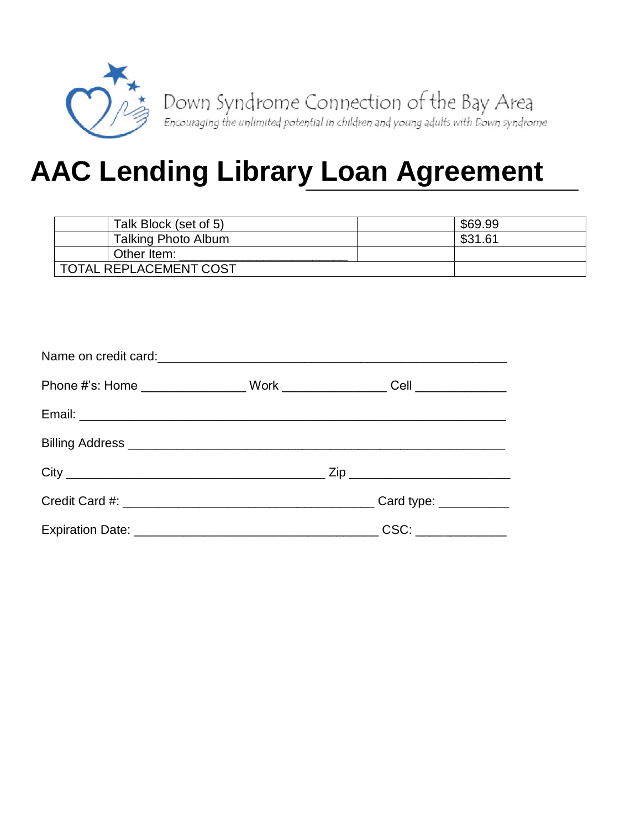

## **AAC Lending Library Loan Agreement**

| Talk Block (set of 5)  | \$69.99 |
|------------------------|---------|
| Talking Photo Album    | \$31.61 |
| Other Item:            |         |
| TOTAL REPLACEMENT COST |         |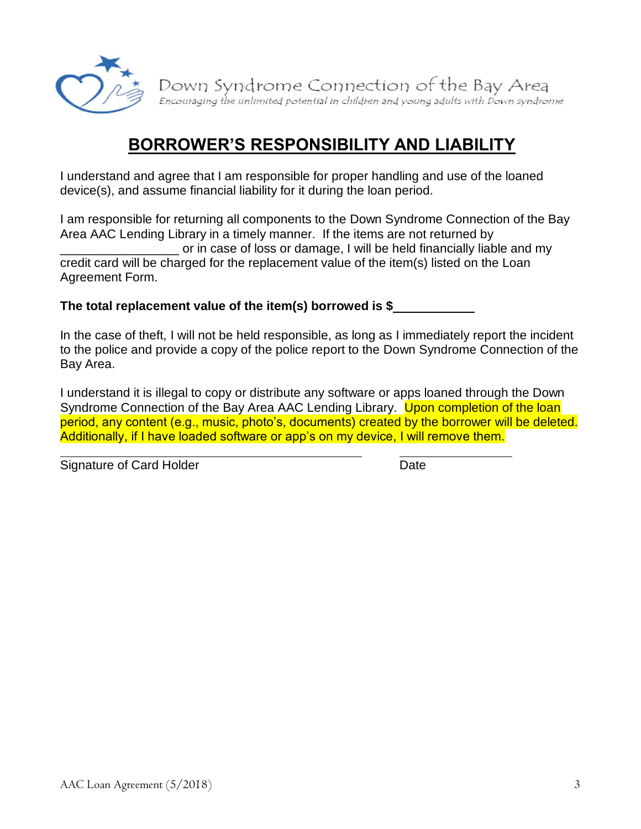

#### **BORROWER'S RESPONSIBILITY AND LIABILITY**

I understand and agree that I am responsible for proper handling and use of the loaned device(s), and assume financial liability for it during the loan period.

I am responsible for returning all components to the Down Syndrome Connection of the Bay Area AAC Lending Library in a timely manner. If the items are not returned by or in case of loss or damage. I will be held financially liable and my credit card will be charged for the replacement value of the item(s) listed on the Loan Agreement Form.

**The total replacement value of the item(s) borrowed is \$**

In the case of theft, I will not be held responsible, as long as I immediately report the incident to the police and provide a copy of the police report to the Down Syndrome Connection of the Bay Area.

I understand it is illegal to copy or distribute any software or apps loaned through the Down Syndrome Connection of the Bay Area AAC Lending Library. Upon completion of the loan period, any content (e.g., music, photo's, documents) created by the borrower will be deleted. Additionally, if I have loaded software or app's on my device, I will remove them.

Signature of Card Holder **Date** Date